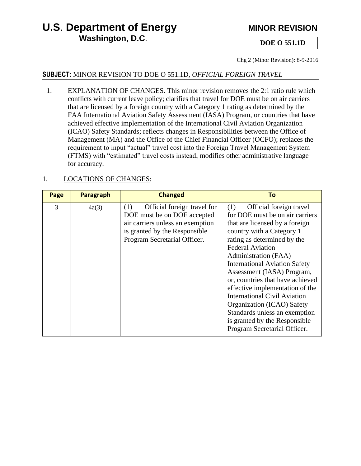# **U.S. Department of Energy MINOR REVISION Washington, D.C**.

**DOE O 551.1D**

Chg 2 (Minor Revision): 8-9-2016

### **SUBJECT:** MINOR REVISION TO DOE O 551.1D, *OFFICIAL FOREIGN TRAVEL*

1. EXPLANATION OF CHANGES. This minor revision removes the 2:1 ratio rule which conflicts with current leave policy; clarifies that travel for DOE must be on air carriers that are licensed by a foreign country with a Category 1 rating as determined by the FAA International Aviation Safety Assessment (IASA) Program, or countries that have achieved effective implementation of the International Civil Aviation Organization (ICAO) Safety Standards; reflects changes in Responsibilities between the Office of Management (MA) and the Office of the Chief Financial Officer (OCFO); replaces the requirement to input "actual" travel cost into the Foreign Travel Management System (FTMS) with "estimated" travel costs instead; modifies other administrative language for accuracy.

#### 1. LOCATIONS OF CHANGES:

| Page | <b>Paragraph</b> | <b>Changed</b>                                                                                                                                                         | Τo                                                                                                                                                                                                                                                                                                                                                                                                                                                                                                                                     |
|------|------------------|------------------------------------------------------------------------------------------------------------------------------------------------------------------------|----------------------------------------------------------------------------------------------------------------------------------------------------------------------------------------------------------------------------------------------------------------------------------------------------------------------------------------------------------------------------------------------------------------------------------------------------------------------------------------------------------------------------------------|
| 3    | 4a(3)            | Official foreign travel for<br>(1)<br>DOE must be on DOE accepted<br>air carriers unless an exemption<br>is granted by the Responsible<br>Program Secretarial Officer. | Official foreign travel<br>(1)<br>for DOE must be on air carriers<br>that are licensed by a foreign<br>country with a Category 1<br>rating as determined by the<br><b>Federal Aviation</b><br>Administration (FAA)<br><b>International Aviation Safety</b><br>Assessment (IASA) Program,<br>or, countries that have achieved<br>effective implementation of the<br><b>International Civil Aviation</b><br>Organization (ICAO) Safety<br>Standards unless an exemption<br>is granted by the Responsible<br>Program Secretarial Officer. |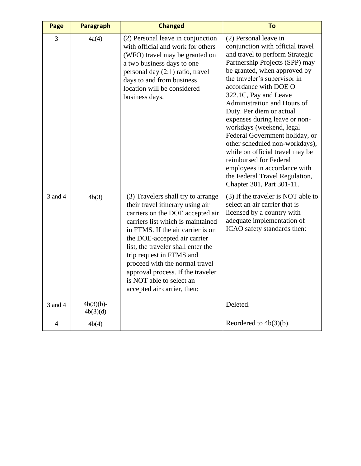| Page           | <b>Paragraph</b>         | <b>Changed</b>                                                                                                                                                                                                                                                                                                                                                                                                           | To                                                                                                                                                                                                                                                                                                                                                                                                                                                                                                                                                                                                       |
|----------------|--------------------------|--------------------------------------------------------------------------------------------------------------------------------------------------------------------------------------------------------------------------------------------------------------------------------------------------------------------------------------------------------------------------------------------------------------------------|----------------------------------------------------------------------------------------------------------------------------------------------------------------------------------------------------------------------------------------------------------------------------------------------------------------------------------------------------------------------------------------------------------------------------------------------------------------------------------------------------------------------------------------------------------------------------------------------------------|
| 3              | 4a(4)                    | (2) Personal leave in conjunction<br>with official and work for others<br>(WFO) travel may be granted on<br>a two business days to one<br>personal day (2:1) ratio, travel<br>days to and from business<br>location will be considered<br>business days.                                                                                                                                                                 | (2) Personal leave in<br>conjunction with official travel<br>and travel to perform Strategic<br>Partnership Projects (SPP) may<br>be granted, when approved by<br>the traveler's supervisor in<br>accordance with DOE O<br>322.1C, Pay and Leave<br>Administration and Hours of<br>Duty. Per diem or actual<br>expenses during leave or non-<br>workdays (weekend, legal<br>Federal Government holiday, or<br>other scheduled non-workdays),<br>while on official travel may be<br>reimbursed for Federal<br>employees in accordance with<br>the Federal Travel Regulation,<br>Chapter 301, Part 301-11. |
| 3 and 4        | 4b(3)                    | (3) Travelers shall try to arrange<br>their travel itinerary using air<br>carriers on the DOE accepted air<br>carriers list which is maintained<br>in FTMS. If the air carrier is on<br>the DOE-accepted air carrier<br>list, the traveler shall enter the<br>trip request in FTMS and<br>proceed with the normal travel<br>approval process. If the traveler<br>is NOT able to select an<br>accepted air carrier, then: | (3) If the traveler is NOT able to<br>select an air carrier that is<br>licensed by a country with<br>adequate implementation of<br>ICAO safety standards then:                                                                                                                                                                                                                                                                                                                                                                                                                                           |
| 3 and 4        | $4b(3)(b)$ -<br>4b(3)(d) |                                                                                                                                                                                                                                                                                                                                                                                                                          | Deleted.                                                                                                                                                                                                                                                                                                                                                                                                                                                                                                                                                                                                 |
| $\overline{4}$ | 4b(4)                    |                                                                                                                                                                                                                                                                                                                                                                                                                          | Reordered to $4b(3)(b)$ .                                                                                                                                                                                                                                                                                                                                                                                                                                                                                                                                                                                |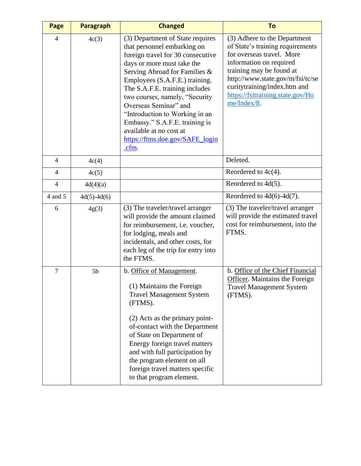| Page           | <b>Paragraph</b> | <b>Changed</b>                                                                                                                                                                                                                                                                                                                                                                                                                                | To                                                                                                                                                                                                                                                                          |
|----------------|------------------|-----------------------------------------------------------------------------------------------------------------------------------------------------------------------------------------------------------------------------------------------------------------------------------------------------------------------------------------------------------------------------------------------------------------------------------------------|-----------------------------------------------------------------------------------------------------------------------------------------------------------------------------------------------------------------------------------------------------------------------------|
| $\overline{4}$ | 4c(3)            | (3) Department of State requires<br>that personnel embarking on<br>foreign travel for 30 consecutive<br>days or more must take the<br>Serving Abroad for Families &<br>Employees (S.A.F.E.) training.<br>The S.A.F.E. training includes<br>two courses, namely, "Security<br>Overseas Seminar" and<br>"Introduction to Working in an<br>Embassy." S.A.F.E. training is<br>available at no cost at<br>https://ftms.doe.gov/SAFE_login<br>.cfm. | (3) Adhere to the Department<br>of State's training requirements<br>for overseas travel. More<br>information on required<br>training may be found at<br>http://www.state.gov/m/fsi/tc/se<br>curitytraining/index.htm and<br>https://fsitraining.state.gov/Ho<br>me/Index/8. |
| $\overline{4}$ | 4c(4)            |                                                                                                                                                                                                                                                                                                                                                                                                                                               | Deleted.                                                                                                                                                                                                                                                                    |
| 4              | 4c(5)            |                                                                                                                                                                                                                                                                                                                                                                                                                                               | Reordered to $4c(4)$ .                                                                                                                                                                                                                                                      |
| $\overline{4}$ | 4d(4)(a)         |                                                                                                                                                                                                                                                                                                                                                                                                                                               | Reordered to $4d(5)$ .                                                                                                                                                                                                                                                      |
| 4 and 5        | $4d(5)-4d(6)$    |                                                                                                                                                                                                                                                                                                                                                                                                                                               | Reordered to $4d(6)-4d(7)$ .                                                                                                                                                                                                                                                |
| 6              | 4g(3)            | (3) The traveler/travel arranger<br>will provide the amount claimed<br>for reimbursement, i.e. voucher,<br>for lodging, meals and<br>incidentals, and other costs, for<br>each leg of the trip for entry into<br>the FTMS.                                                                                                                                                                                                                    | (3) The traveler/travel arranger<br>will provide the estimated travel<br>cost for reimbursement, into the<br>FTMS.                                                                                                                                                          |
| 7              | 5 <sub>b</sub>   | b. Office of Management.<br>(1) Maintains the Foreign<br><b>Travel Management System</b><br>(FTMS).<br>$(2)$ Acts as the primary point-<br>of-contact with the Department<br>of State on Department of<br>Energy foreign travel matters<br>and with full participation by<br>the program element on all<br>foreign travel matters specific<br>to that program element.                                                                        | b. Office of the Chief Financial<br>Officer. Maintains the Foreign<br><b>Travel Management System</b><br>(FTMS).                                                                                                                                                            |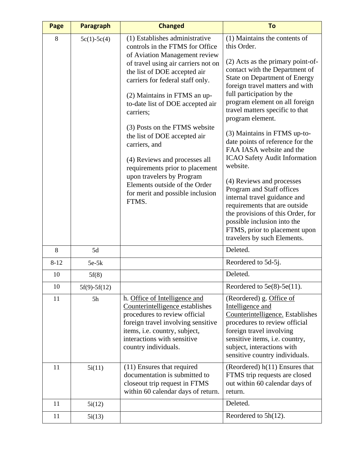| Page     | <b>Paragraph</b> | <b>Changed</b>                                                                                                                                                                                                                                                                                                                                                                                                                                                                                                                                                  | To                                                                                                                                                                                                                                                                                                                                                                                                                                                                                                                                                                                                                                                                                                                                        |
|----------|------------------|-----------------------------------------------------------------------------------------------------------------------------------------------------------------------------------------------------------------------------------------------------------------------------------------------------------------------------------------------------------------------------------------------------------------------------------------------------------------------------------------------------------------------------------------------------------------|-------------------------------------------------------------------------------------------------------------------------------------------------------------------------------------------------------------------------------------------------------------------------------------------------------------------------------------------------------------------------------------------------------------------------------------------------------------------------------------------------------------------------------------------------------------------------------------------------------------------------------------------------------------------------------------------------------------------------------------------|
| 8        | $5c(1)-5c(4)$    | (1) Establishes administrative<br>controls in the FTMS for Office<br>of Aviation Management review<br>of travel using air carriers not on<br>the list of DOE accepted air<br>carriers for federal staff only.<br>(2) Maintains in FTMS an up-<br>to-date list of DOE accepted air<br>carriers;<br>(3) Posts on the FTMS website<br>the list of DOE accepted air<br>carriers, and<br>(4) Reviews and processes all<br>requirements prior to placement<br>upon travelers by Program<br>Elements outside of the Order<br>for merit and possible inclusion<br>FTMS. | (1) Maintains the contents of<br>this Order.<br>$(2)$ Acts as the primary point-of-<br>contact with the Department of<br><b>State on Department of Energy</b><br>foreign travel matters and with<br>full participation by the<br>program element on all foreign<br>travel matters specific to that<br>program element.<br>(3) Maintains in FTMS up-to-<br>date points of reference for the<br>FAA IASA website and the<br><b>ICAO Safety Audit Information</b><br>website.<br>(4) Reviews and processes<br>Program and Staff offices<br>internal travel guidance and<br>requirements that are outside<br>the provisions of this Order, for<br>possible inclusion into the<br>FTMS, prior to placement upon<br>travelers by such Elements. |
| 8        | 5d               |                                                                                                                                                                                                                                                                                                                                                                                                                                                                                                                                                                 | Deleted.                                                                                                                                                                                                                                                                                                                                                                                                                                                                                                                                                                                                                                                                                                                                  |
| $8 - 12$ | $5e-5k$          |                                                                                                                                                                                                                                                                                                                                                                                                                                                                                                                                                                 | Reordered to 5d-5j.                                                                                                                                                                                                                                                                                                                                                                                                                                                                                                                                                                                                                                                                                                                       |
| 10       | 5f(8)            |                                                                                                                                                                                                                                                                                                                                                                                                                                                                                                                                                                 | Deleted.                                                                                                                                                                                                                                                                                                                                                                                                                                                                                                                                                                                                                                                                                                                                  |
| 10       | $5f(9)-5f(12)$   |                                                                                                                                                                                                                                                                                                                                                                                                                                                                                                                                                                 | Reordered to $5e(8)$ - $5e(11)$ .                                                                                                                                                                                                                                                                                                                                                                                                                                                                                                                                                                                                                                                                                                         |
| 11       | 5h               | h. Office of Intelligence and<br>Counterintelligence establishes<br>procedures to review official<br>foreign travel involving sensitive<br>items, i.e. country, subject,<br>interactions with sensitive<br>country individuals.                                                                                                                                                                                                                                                                                                                                 | (Reordered) g. Office of<br>Intelligence and<br>Counterintelligence. Establishes<br>procedures to review official<br>foreign travel involving<br>sensitive items, i.e. country,<br>subject, interactions with<br>sensitive country individuals.                                                                                                                                                                                                                                                                                                                                                                                                                                                                                           |
| 11       | 5i(11)           | (11) Ensures that required<br>documentation is submitted to<br>closeout trip request in FTMS<br>within 60 calendar days of return.                                                                                                                                                                                                                                                                                                                                                                                                                              | (Reordered) $h(11)$ Ensures that<br>FTMS trip requests are closed<br>out within 60 calendar days of<br>return.                                                                                                                                                                                                                                                                                                                                                                                                                                                                                                                                                                                                                            |
| 11       | 5i(12)           |                                                                                                                                                                                                                                                                                                                                                                                                                                                                                                                                                                 | Deleted.                                                                                                                                                                                                                                                                                                                                                                                                                                                                                                                                                                                                                                                                                                                                  |
| 11       | 5i(13)           |                                                                                                                                                                                                                                                                                                                                                                                                                                                                                                                                                                 | Reordered to 5h(12).                                                                                                                                                                                                                                                                                                                                                                                                                                                                                                                                                                                                                                                                                                                      |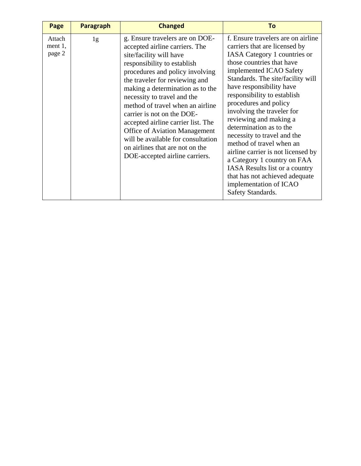| Page                           | <b>Paragraph</b> | <b>Changed</b>                                                                                                                                                                                                                                                                                                                                                                                                                                                                                                                 | To                                                                                                                                                                                                                                                                                                                                                                                                                                                                                                                                                                                                                                |
|--------------------------------|------------------|--------------------------------------------------------------------------------------------------------------------------------------------------------------------------------------------------------------------------------------------------------------------------------------------------------------------------------------------------------------------------------------------------------------------------------------------------------------------------------------------------------------------------------|-----------------------------------------------------------------------------------------------------------------------------------------------------------------------------------------------------------------------------------------------------------------------------------------------------------------------------------------------------------------------------------------------------------------------------------------------------------------------------------------------------------------------------------------------------------------------------------------------------------------------------------|
| Attach<br>ment $1$ ,<br>page 2 | 1g               | g. Ensure travelers are on DOE-<br>accepted airline carriers. The<br>site/facility will have<br>responsibility to establish<br>procedures and policy involving<br>the traveler for reviewing and<br>making a determination as to the<br>necessity to travel and the<br>method of travel when an airline<br>carrier is not on the DOE-<br>accepted airline carrier list. The<br><b>Office of Aviation Management</b><br>will be available for consultation<br>on airlines that are not on the<br>DOE-accepted airline carriers. | f. Ensure travelers are on airline<br>carriers that are licensed by<br>IASA Category 1 countries or<br>those countries that have<br>implemented ICAO Safety<br>Standards. The site/facility will<br>have responsibility have<br>responsibility to establish<br>procedures and policy<br>involving the traveler for<br>reviewing and making a<br>determination as to the<br>necessity to travel and the<br>method of travel when an<br>airline carrier is not licensed by<br>a Category 1 country on FAA<br><b>IASA</b> Results list or a country<br>that has not achieved adequate<br>implementation of ICAO<br>Safety Standards. |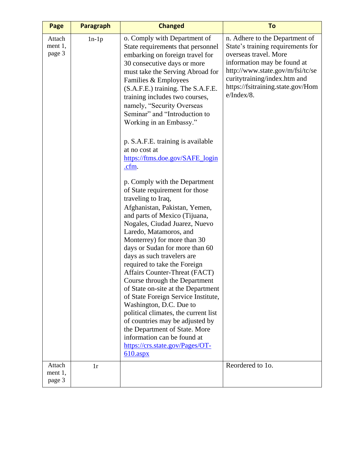| Page                           | <b>Paragraph</b> | <b>Changed</b>                                                                                                                                                                                                                                                                                                                                                                                                                                                                                                                                                                                                                                                                                                                                                                                                                                                                                                                                                                                                                                                                                                                               | To                                                                                                                                                                                                                                                 |
|--------------------------------|------------------|----------------------------------------------------------------------------------------------------------------------------------------------------------------------------------------------------------------------------------------------------------------------------------------------------------------------------------------------------------------------------------------------------------------------------------------------------------------------------------------------------------------------------------------------------------------------------------------------------------------------------------------------------------------------------------------------------------------------------------------------------------------------------------------------------------------------------------------------------------------------------------------------------------------------------------------------------------------------------------------------------------------------------------------------------------------------------------------------------------------------------------------------|----------------------------------------------------------------------------------------------------------------------------------------------------------------------------------------------------------------------------------------------------|
| Attach<br>ment $1$ ,<br>page 3 | $1n-1p$          | o. Comply with Department of<br>State requirements that personnel<br>embarking on foreign travel for<br>30 consecutive days or more<br>must take the Serving Abroad for<br>Families & Employees<br>(S.A.F.E.) training. The S.A.F.E.<br>training includes two courses,<br>namely, "Security Overseas<br>Seminar" and "Introduction to<br>Working in an Embassy."<br>p. S.A.F.E. training is available<br>at no cost at<br>https://ftms.doe.gov/SAFE_login<br>.cfm.<br>p. Comply with the Department<br>of State requirement for those<br>traveling to Iraq,<br>Afghanistan, Pakistan, Yemen,<br>and parts of Mexico (Tijuana,<br>Nogales, Ciudad Juarez, Nuevo<br>Laredo, Matamoros, and<br>Monterrey) for more than 30<br>days or Sudan for more than 60<br>days as such travelers are<br>required to take the Foreign<br>Affairs Counter-Threat (FACT)<br>Course through the Department<br>of State on-site at the Department<br>of State Foreign Service Institute,<br>Washington, D.C. Due to<br>political climates, the current list<br>of countries may be adjusted by<br>the Department of State. More<br>information can be found at | n. Adhere to the Department of<br>State's training requirements for<br>overseas travel. More<br>information may be found at<br>http://www.state.gov/m/fsi/tc/se<br>curitytraining/index.htm and<br>https://fsitraining.state.gov/Hom<br>e/Index/8. |
| Attach                         | 1r               | https://crs.state.gov/Pages/OT-<br>$610 \text{.aspx}$                                                                                                                                                                                                                                                                                                                                                                                                                                                                                                                                                                                                                                                                                                                                                                                                                                                                                                                                                                                                                                                                                        | Reordered to 1o.                                                                                                                                                                                                                                   |
| ment $1$ ,<br>page 3           |                  |                                                                                                                                                                                                                                                                                                                                                                                                                                                                                                                                                                                                                                                                                                                                                                                                                                                                                                                                                                                                                                                                                                                                              |                                                                                                                                                                                                                                                    |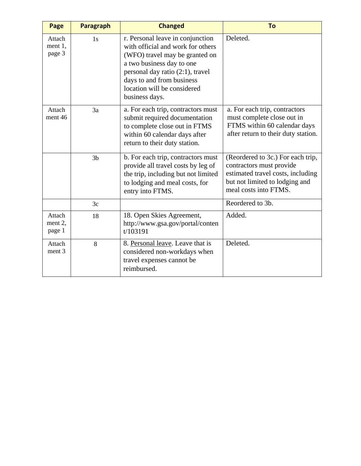| Page                        | <b>Paragraph</b> | <b>Changed</b>                                                                                                                                                                                                                                         | <b>To</b>                                                                                                                                                     |
|-----------------------------|------------------|--------------------------------------------------------------------------------------------------------------------------------------------------------------------------------------------------------------------------------------------------------|---------------------------------------------------------------------------------------------------------------------------------------------------------------|
| Attach<br>ment 1,<br>page 3 | 1s               | r. Personal leave in conjunction<br>with official and work for others<br>(WFO) travel may be granted on<br>a two business day to one<br>personal day ratio (2:1), travel<br>days to and from business<br>location will be considered<br>business days. | Deleted.                                                                                                                                                      |
| Attach<br>ment 46           | 3a               | a. For each trip, contractors must<br>submit required documentation<br>to complete close out in FTMS<br>within 60 calendar days after<br>return to their duty station.                                                                                 | a. For each trip, contractors<br>must complete close out in<br>FTMS within 60 calendar days<br>after return to their duty station.                            |
|                             | 3 <sub>b</sub>   | b. For each trip, contractors must<br>provide all travel costs by leg of<br>the trip, including but not limited<br>to lodging and meal costs, for<br>entry into FTMS.                                                                                  | (Reordered to 3c.) For each trip,<br>contractors must provide<br>estimated travel costs, including<br>but not limited to lodging and<br>meal costs into FTMS. |
|                             | 3c               |                                                                                                                                                                                                                                                        | Reordered to 3b.                                                                                                                                              |
| Attach<br>ment 2,<br>page 1 | 18               | 18. Open Skies Agreement,<br>http://www.gsa.gov/portal/conten<br>t/103191                                                                                                                                                                              | Added.                                                                                                                                                        |
| Attach<br>ment 3            | 8                | 8. Personal leave. Leave that is<br>considered non-workdays when<br>travel expenses cannot be<br>reimbursed.                                                                                                                                           | Deleted.                                                                                                                                                      |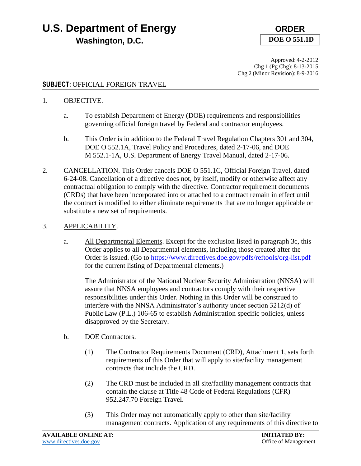# **U.S. Department of Energy ORDER Washington, D.C.**



Approved: 4-2-2012 Chg 1 (Pg Chg): 8-13-2015 Chg 2 (Minor Revision): 8-9-2016

# **SUBJECT:** OFFICIAL FOREIGN TRAVEL

### 1. OBJECTIVE.

- a. To establish Department of Energy (DOE) requirements and responsibilities governing official foreign travel by Federal and contractor employees.
- b. This Order is in addition to the Federal Travel Regulation Chapters 301 and 304, DOE O 552.1A, Travel Policy and Procedures, dated 2-17-06, and DOE M 552.1-1A, U.S. Department of Energy Travel Manual, dated 2-17-06.
- 2. CANCELLATION. This Order cancels DOE O 551.1C, Official Foreign Travel, dated 6-24-08. Cancellation of a directive does not, by itself, modify or otherwise affect any contractual obligation to comply with the directive. Contractor requirement documents (CRDs) that have been incorporated into or attached to a contract remain in effect until the contract is modified to either eliminate requirements that are no longer applicable or substitute a new set of requirements.

# 3. APPLICABILITY.

a. All Departmental Elements. Except for the exclusion listed in paragraph 3c, this Order applies to all Departmental elements, including those created after the Order is issued. (Go to [https://www.directives.doe.gov/pdfs/reftools/org-list.pdf](http://www.directives.doe.gov/pdfs/reftools/org-list.pdf)  for the current listing of Departmental elements.)

The Administrator of the National Nuclear Security Administration (NNSA) will assure that NNSA employees and contractors comply with their respective responsibilities under this Order. Nothing in this Order will be construed to interfere with the NNSA Administrator's authority under section 3212(d) of Public Law (P.L.) 106-65 to establish Administration specific policies, unless disapproved by the Secretary.

# b. DOE Contractors.

- (1) The Contractor Requirements Document (CRD), Attachment 1, sets forth requirements of this Order that will apply to site/facility management contracts that include the CRD.
- (2) The CRD must be included in all site/facility management contracts that contain the clause at Title 48 Code of Federal Regulations (CFR) 952.247.70 Foreign Travel.
- (3) This Order may not automatically apply to other than site/facility management contracts. Application of any requirements of this directive to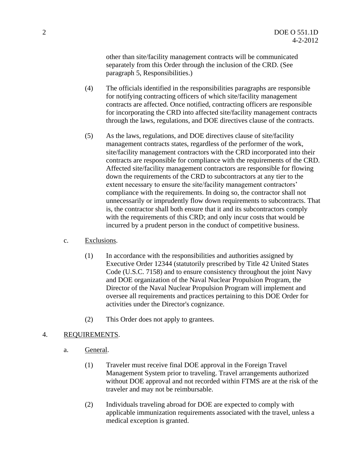other than site/facility management contracts will be communicated separately from this Order through the inclusion of the CRD. (See paragraph 5, Responsibilities.)

- (4) The officials identified in the responsibilities paragraphs are responsible for notifying contracting officers of which site/facility management contracts are affected. Once notified, contracting officers are responsible for incorporating the CRD into affected site/facility management contracts through the laws, regulations, and DOE directives clause of the contracts.
- (5) As the laws, regulations, and DOE directives clause of site/facility management contracts states, regardless of the performer of the work, site/facility management contractors with the CRD incorporated into their contracts are responsible for compliance with the requirements of the CRD. Affected site/facility management contractors are responsible for flowing down the requirements of the CRD to subcontractors at any tier to the extent necessary to ensure the site/facility management contractors' compliance with the requirements. In doing so, the contractor shall not unnecessarily or imprudently flow down requirements to subcontracts. That is, the contractor shall both ensure that it and its subcontractors comply with the requirements of this CRD; and only incur costs that would be incurred by a prudent person in the conduct of competitive business.
- c. Exclusions.
	- (1) In accordance with the responsibilities and authorities assigned by Executive Order 12344 (statutorily prescribed by Title 42 United States Code (U.S.C. 7158) and to ensure consistency throughout the joint Navy and DOE organization of the Naval Nuclear Propulsion Program, the Director of the Naval Nuclear Propulsion Program will implement and oversee all requirements and practices pertaining to this DOE Order for activities under the Director's cognizance.
	- (2) This Order does not apply to grantees.

# 4. REQUIREMENTS.

- a. General.
	- (1) Traveler must receive final DOE approval in the Foreign Travel Management System prior to traveling. Travel arrangements authorized without DOE approval and not recorded within FTMS are at the risk of the traveler and may not be reimbursable.
	- (2) Individuals traveling abroad for DOE are expected to comply with applicable immunization requirements associated with the travel, unless a medical exception is granted.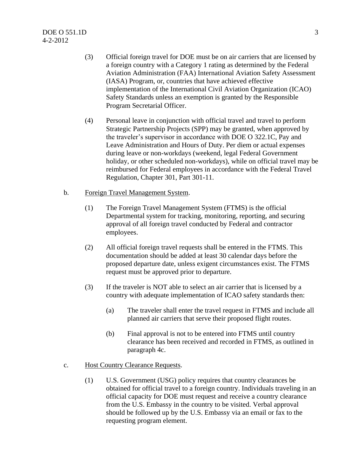- (3) Official foreign travel for DOE must be on air carriers that are licensed by a foreign country with a Category 1 rating as determined by the Federal Aviation Administration (FAA) International Aviation Safety Assessment (IASA) Program, or, countries that have achieved effective implementation of the International Civil Aviation Organization (ICAO) Safety Standards unless an exemption is granted by the Responsible Program Secretarial Officer.
- (4) Personal leave in conjunction with official travel and travel to perform Strategic Partnership Projects (SPP) may be granted, when approved by the traveler's supervisor in accordance with DOE O 322.1C, Pay and Leave Administration and Hours of Duty. Per diem or actual expenses during leave or non-workdays (weekend, legal Federal Government holiday, or other scheduled non-workdays), while on official travel may be reimbursed for Federal employees in accordance with the Federal Travel Regulation, Chapter 301, Part 301-11.

#### b. Foreign Travel Management System.

- (1) The Foreign Travel Management System (FTMS) is the official Departmental system for tracking, monitoring, reporting, and securing approval of all foreign travel conducted by Federal and contractor employees.
- (2) All official foreign travel requests shall be entered in the FTMS. This documentation should be added at least 30 calendar days before the proposed departure date, unless exigent circumstances exist. The FTMS request must be approved prior to departure.
- (3) If the traveler is NOT able to select an air carrier that is licensed by a country with adequate implementation of ICAO safety standards then:
	- (a) The traveler shall enter the travel request in FTMS and include all planned air carriers that serve their proposed flight routes.
	- (b) Final approval is not to be entered into FTMS until country clearance has been received and recorded in FTMS, as outlined in paragraph 4c.
- c. Host Country Clearance Requests.
	- (1) U.S. Government (USG) policy requires that country clearances be obtained for official travel to a foreign country. Individuals traveling in an official capacity for DOE must request and receive a country clearance from the U.S. Embassy in the country to be visited. Verbal approval should be followed up by the U.S. Embassy via an email or fax to the requesting program element.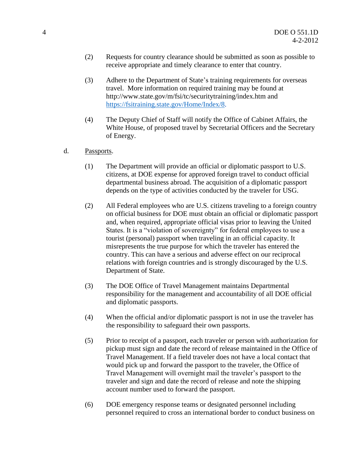- (2) Requests for country clearance should be submitted as soon as possible to receive appropriate and timely clearance to enter that country.
- (3) Adhere to the Department of State's training requirements for overseas travel. More information on required training may be found at http://www.state.gov/m/fsi/tc/securitytraining/index.htm and [https://fsitraining.state.gov/Home/Index/8.](https://fsitraining.state.gov/Home/Index/8)
- (4) The Deputy Chief of Staff will notify the Office of Cabinet Affairs, the White House, of proposed travel by Secretarial Officers and the Secretary of Energy.
- d. Passports.
	- (1) The Department will provide an official or diplomatic passport to U.S. citizens, at DOE expense for approved foreign travel to conduct official departmental business abroad. The acquisition of a diplomatic passport depends on the type of activities conducted by the traveler for USG.
	- (2) All Federal employees who are U.S. citizens traveling to a foreign country on official business for DOE must obtain an official or diplomatic passport and, when required, appropriate official visas prior to leaving the United States. It is a "violation of sovereignty" for federal employees to use a tourist (personal) passport when traveling in an official capacity. It misrepresents the true purpose for which the traveler has entered the country. This can have a serious and adverse effect on our reciprocal relations with foreign countries and is strongly discouraged by the U.S. Department of State.
	- (3) The DOE Office of Travel Management maintains Departmental responsibility for the management and accountability of all DOE official and diplomatic passports.
	- (4) When the official and/or diplomatic passport is not in use the traveler has the responsibility to safeguard their own passports.
	- (5) Prior to receipt of a passport, each traveler or person with authorization for pickup must sign and date the record of release maintained in the Office of Travel Management. If a field traveler does not have a local contact that would pick up and forward the passport to the traveler, the Office of Travel Management will overnight mail the traveler's passport to the traveler and sign and date the record of release and note the shipping account number used to forward the passport.
	- (6) DOE emergency response teams or designated personnel including personnel required to cross an international border to conduct business on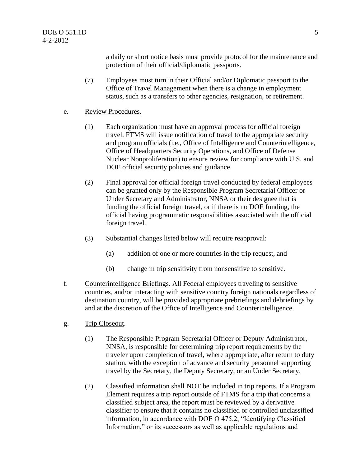a daily or short notice basis must provide protocol for the maintenance and protection of their official/diplomatic passports.

(7) Employees must turn in their Official and/or Diplomatic passport to the Office of Travel Management when there is a change in employment status, such as a transfers to other agencies, resignation, or retirement.

#### e. Review Procedures.

- (1) Each organization must have an approval process for official foreign travel. FTMS will issue notification of travel to the appropriate security and program officials (i.e., Office of Intelligence and Counterintelligence, Office of Headquarters Security Operations, and Office of Defense Nuclear Nonproliferation) to ensure review for compliance with U.S. and DOE official security policies and guidance.
- (2) Final approval for official foreign travel conducted by federal employees can be granted only by the Responsible Program Secretarial Officer or Under Secretary and Administrator, NNSA or their designee that is funding the official foreign travel, or if there is no DOE funding, the official having programmatic responsibilities associated with the official foreign travel.
- (3) Substantial changes listed below will require reapproval:
	- (a) addition of one or more countries in the trip request, and
	- (b) change in trip sensitivity from nonsensitive to sensitive.
- f. Counterintelligence Briefings. All Federal employees traveling to sensitive countries, and/or interacting with sensitive country foreign nationals regardless of destination country, will be provided appropriate prebriefings and debriefings by and at the discretion of the Office of Intelligence and Counterintelligence.
- g. Trip Closeout.
	- (1) The Responsible Program Secretarial Officer or Deputy Administrator, NNSA, is responsible for determining trip report requirements by the traveler upon completion of travel, where appropriate, after return to duty station, with the exception of advance and security personnel supporting travel by the Secretary, the Deputy Secretary, or an Under Secretary.
	- (2) Classified information shall NOT be included in trip reports. If a Program Element requires a trip report outside of FTMS for a trip that concerns a classified subject area, the report must be reviewed by a derivative classifier to ensure that it contains no classified or controlled unclassified information, in accordance with DOE O 475.2, "Identifying Classified Information," or its successors as well as applicable regulations and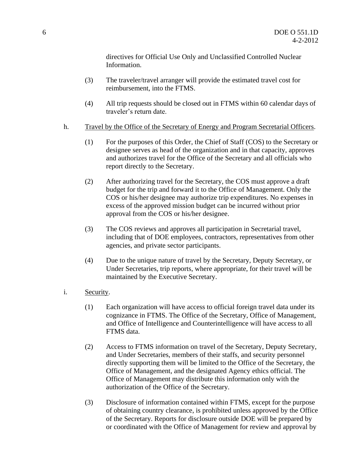directives for Official Use Only and Unclassified Controlled Nuclear Information.

- (3) The traveler/travel arranger will provide the estimated travel cost for reimbursement, into the FTMS.
- (4) All trip requests should be closed out in FTMS within 60 calendar days of traveler's return date.
- h. Travel by the Office of the Secretary of Energy and Program Secretarial Officers.
	- (1) For the purposes of this Order, the Chief of Staff (COS) to the Secretary or designee serves as head of the organization and in that capacity, approves and authorizes travel for the Office of the Secretary and all officials who report directly to the Secretary.
	- (2) After authorizing travel for the Secretary, the COS must approve a draft budget for the trip and forward it to the Office of Management. Only the COS or his/her designee may authorize trip expenditures. No expenses in excess of the approved mission budget can be incurred without prior approval from the COS or his/her designee.
	- (3) The COS reviews and approves all participation in Secretarial travel, including that of DOE employees, contractors, representatives from other agencies, and private sector participants.
	- (4) Due to the unique nature of travel by the Secretary, Deputy Secretary, or Under Secretaries, trip reports, where appropriate, for their travel will be maintained by the Executive Secretary.
- i. Security.
	- (1) Each organization will have access to official foreign travel data under its cognizance in FTMS. The Office of the Secretary, Office of Management, and Office of Intelligence and Counterintelligence will have access to all FTMS data.
	- (2) Access to FTMS information on travel of the Secretary, Deputy Secretary, and Under Secretaries, members of their staffs, and security personnel directly supporting them will be limited to the Office of the Secretary, the Office of Management, and the designated Agency ethics official. The Office of Management may distribute this information only with the authorization of the Office of the Secretary.
	- (3) Disclosure of information contained within FTMS, except for the purpose of obtaining country clearance, is prohibited unless approved by the Office of the Secretary. Reports for disclosure outside DOE will be prepared by or coordinated with the Office of Management for review and approval by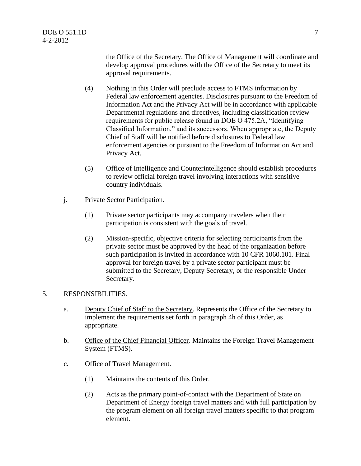the Office of the Secretary. The Office of Management will coordinate and develop approval procedures with the Office of the Secretary to meet its approval requirements.

- (4) Nothing in this Order will preclude access to FTMS information by Federal law enforcement agencies. Disclosures pursuant to the Freedom of Information Act and the Privacy Act will be in accordance with applicable Departmental regulations and directives, including classification review requirements for public release found in DOE O 475.2A, "Identifying Classified Information," and its successors. When appropriate, the Deputy Chief of Staff will be notified before disclosures to Federal law enforcement agencies or pursuant to the Freedom of Information Act and Privacy Act.
- (5) Office of Intelligence and Counterintelligence should establish procedures to review official foreign travel involving interactions with sensitive country individuals.
- j. Private Sector Participation.
	- (1) Private sector participants may accompany travelers when their participation is consistent with the goals of travel.
	- (2) Mission-specific, objective criteria for selecting participants from the private sector must be approved by the head of the organization before such participation is invited in accordance with 10 CFR 1060.101. Final approval for foreign travel by a private sector participant must be submitted to the Secretary, Deputy Secretary, or the responsible Under Secretary.

# 5. RESPONSIBILITIES.

- a. Deputy Chief of Staff to the Secretary. Represents the Office of the Secretary to implement the requirements set forth in paragraph 4h of this Order, as appropriate.
- b. Office of the Chief Financial Officer. Maintains the Foreign Travel Management System (FTMS).
- c. Office of Travel Management.
	- (1) Maintains the contents of this Order.
	- (2) Acts as the primary point-of-contact with the Department of State on Department of Energy foreign travel matters and with full participation by the program element on all foreign travel matters specific to that program element.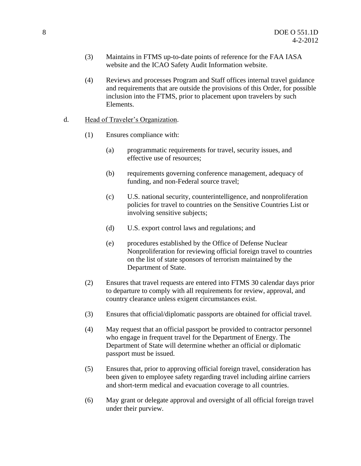- (3) Maintains in FTMS up-to-date points of reference for the FAA IASA website and the ICAO Safety Audit Information website.
- (4) Reviews and processes Program and Staff offices internal travel guidance and requirements that are outside the provisions of this Order, for possible inclusion into the FTMS, prior to placement upon travelers by such Elements.

#### d. Head of Traveler's Organization.

- (1) Ensures compliance with:
	- (a) programmatic requirements for travel, security issues, and effective use of resources;
	- (b) requirements governing conference management, adequacy of funding, and non-Federal source travel;
	- (c) U.S. national security, counterintelligence, and nonproliferation policies for travel to countries on the Sensitive Countries List or involving sensitive subjects;
	- (d) U.S. export control laws and regulations; and
	- (e) procedures established by the Office of Defense Nuclear Nonproliferation for reviewing official foreign travel to countries on the list of state sponsors of terrorism maintained by the Department of State.
- (2) Ensures that travel requests are entered into FTMS 30 calendar days prior to departure to comply with all requirements for review, approval, and country clearance unless exigent circumstances exist.
- (3) Ensures that official/diplomatic passports are obtained for official travel.
- (4) May request that an official passport be provided to contractor personnel who engage in frequent travel for the Department of Energy. The Department of State will determine whether an official or diplomatic passport must be issued.
- (5) Ensures that, prior to approving official foreign travel, consideration has been given to employee safety regarding travel including airline carriers and short-term medical and evacuation coverage to all countries.
- (6) May grant or delegate approval and oversight of all official foreign travel under their purview.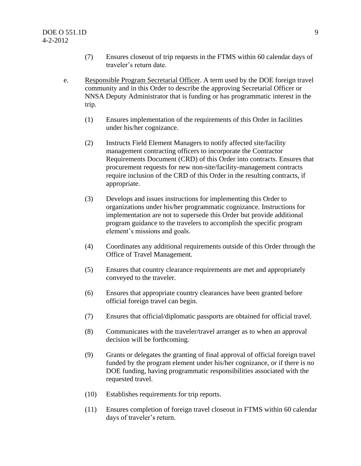- (7) Ensures closeout of trip requests in the FTMS within 60 calendar days of traveler's return date.
- e. Responsible Program Secretarial Officer. A term used by the DOE foreign travel community and in this Order to describe the approving Secretarial Officer or NNSA Deputy Administrator that is funding or has programmatic interest in the trip.
	- (1) Ensures implementation of the requirements of this Order in facilities under his/her cognizance.
	- (2) Instructs Field Element Managers to notify affected site/facility management contracting officers to incorporate the Contractor Requirements Document (CRD) of this Order into contracts. Ensures that procurement requests for new non-site/facility-management contracts require inclusion of the CRD of this Order in the resulting contracts, if appropriate.
	- (3) Develops and issues instructions for implementing this Order to organizations under his/her programmatic cognizance. Instructions for implementation are not to supersede this Order but provide additional program guidance to the travelers to accomplish the specific program element's missions and goals.
	- (4) Coordinates any additional requirements outside of this Order through the Office of Travel Management.
	- (5) Ensures that country clearance requirements are met and appropriately conveyed to the traveler.
	- (6) Ensures that appropriate country clearances have been granted before official foreign travel can begin.
	- (7) Ensures that official/diplomatic passports are obtained for official travel.
	- (8) Communicates with the traveler/travel arranger as to when an approval decision will be forthcoming.
	- (9) Grants or delegates the granting of final approval of official foreign travel funded by the program element under his/her cognizance, or if there is no DOE funding, having programmatic responsibilities associated with the requested travel.
	- (10) Establishes requirements for trip reports.
	- (11) Ensures completion of foreign travel closeout in FTMS within 60 calendar days of traveler's return.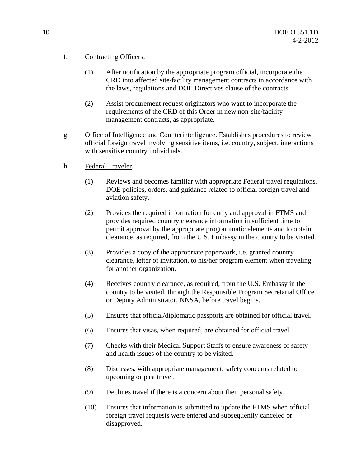# f. Contracting Officers.

- (1) After notification by the appropriate program official, incorporate the CRD into affected site/facility management contracts in accordance with the laws, regulations and DOE Directives clause of the contracts.
- (2) Assist procurement request originators who want to incorporate the requirements of the CRD of this Order in new non-site/facility management contracts, as appropriate.
- g. Office of Intelligence and Counterintelligence. Establishes procedures to review official foreign travel involving sensitive items, i.e. country, subject, interactions with sensitive country individuals.
- h. Federal Traveler.
	- (1) Reviews and becomes familiar with appropriate Federal travel regulations, DOE policies, orders, and guidance related to official foreign travel and aviation safety.
	- (2) Provides the required information for entry and approval in FTMS and provides required country clearance information in sufficient time to permit approval by the appropriate programmatic elements and to obtain clearance, as required, from the U.S. Embassy in the country to be visited.
	- (3) Provides a copy of the appropriate paperwork, i.e. granted country clearance, letter of invitation, to his/her program element when traveling for another organization.
	- (4) Receives country clearance, as required, from the U.S. Embassy in the country to be visited, through the Responsible Program Secretarial Office or Deputy Administrator, NNSA, before travel begins.
	- (5) Ensures that official/diplomatic passports are obtained for official travel.
	- (6) Ensures that visas, when required, are obtained for official travel.
	- (7) Checks with their Medical Support Staffs to ensure awareness of safety and health issues of the country to be visited.
	- (8) Discusses, with appropriate management, safety concerns related to upcoming or past travel.
	- (9) Declines travel if there is a concern about their personal safety.
	- (10) Ensures that information is submitted to update the FTMS when official foreign travel requests were entered and subsequently canceled or disapproved.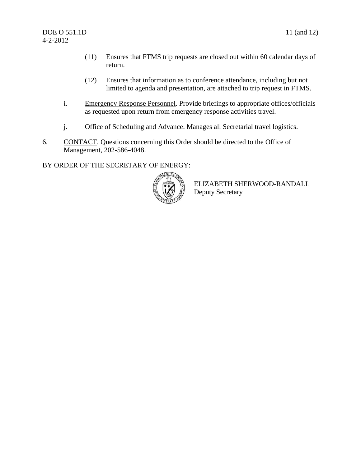- (11) Ensures that FTMS trip requests are closed out within 60 calendar days of return.
- (12) Ensures that information as to conference attendance, including but not limited to agenda and presentation, are attached to trip request in FTMS.
- i. Emergency Response Personnel. Provide briefings to appropriate offices/officials as requested upon return from emergency response activities travel.
- j. Office of Scheduling and Advance. Manages all Secretarial travel logistics.
- 6. CONTACT. Questions concerning this Order should be directed to the Office of Management, 202-586-4048.

BY ORDER OF THE SECRETARY OF ENERGY:



ELIZABETH SHERWOOD-RANDALL Deputy Secretary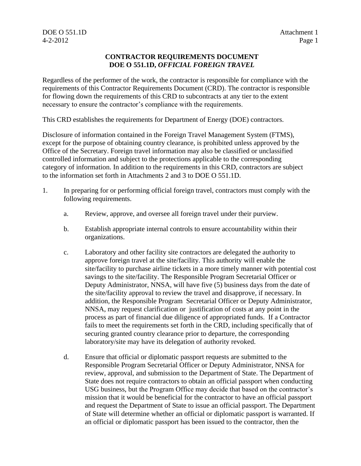### **CONTRACTOR REQUIREMENTS DOCUMENT DOE O 551.1D,** *OFFICIAL FOREIGN TRAVEL*

Regardless of the performer of the work, the contractor is responsible for compliance with the requirements of this Contractor Requirements Document (CRD). The contractor is responsible for flowing down the requirements of this CRD to subcontracts at any tier to the extent necessary to ensure the contractor's compliance with the requirements.

This CRD establishes the requirements for Department of Energy (DOE) contractors.

Disclosure of information contained in the Foreign Travel Management System (FTMS), except for the purpose of obtaining country clearance, is prohibited unless approved by the Office of the Secretary. Foreign travel information may also be classified or unclassified controlled information and subject to the protections applicable to the corresponding category of information. In addition to the requirements in this CRD, contractors are subject to the information set forth in Attachments 2 and 3 to DOE O 551.1D.

- 1. In preparing for or performing official foreign travel, contractors must comply with the following requirements.
	- a. Review, approve, and oversee all foreign travel under their purview.
	- b. Establish appropriate internal controls to ensure accountability within their organizations.
	- c. Laboratory and other facility site contractors are delegated the authority to approve foreign travel at the site/facility. This authority will enable the site/facility to purchase airline tickets in a more timely manner with potential cost savings to the site/facility. The Responsible Program Secretarial Officer or Deputy Administrator, NNSA, will have five (5) business days from the date of the site/facility approval to review the travel and disapprove, if necessary. In addition, the Responsible Program Secretarial Officer or Deputy Administrator, NNSA, may request clarification or justification of costs at any point in the process as part of financial due diligence of appropriated funds. If a Contractor fails to meet the requirements set forth in the CRD, including specifically that of securing granted country clearance prior to departure, the corresponding laboratory/site may have its delegation of authority revoked.
	- d. Ensure that official or diplomatic passport requests are submitted to the Responsible Program Secretarial Officer or Deputy Administrator, NNSA for review, approval, and submission to the Department of State. The Department of State does not require contractors to obtain an official passport when conducting USG business, but the Program Office may decide that based on the contractor's mission that it would be beneficial for the contractor to have an official passport and request the Department of State to issue an official passport. The Department of State will determine whether an official or diplomatic passport is warranted. If an official or diplomatic passport has been issued to the contractor, then the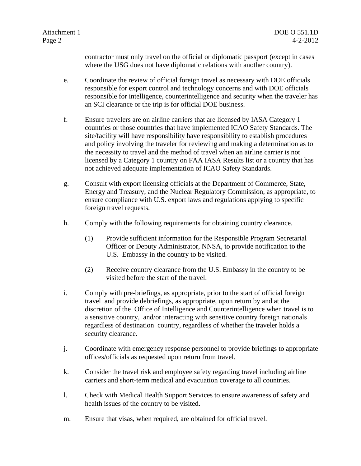contractor must only travel on the official or diplomatic passport (except in cases where the USG does not have diplomatic relations with another country).

- e. Coordinate the review of official foreign travel as necessary with DOE officials responsible for export control and technology concerns and with DOE officials responsible for intelligence, counterintelligence and security when the traveler has an SCI clearance or the trip is for official DOE business.
- f. Ensure travelers are on airline carriers that are licensed by IASA Category 1 countries or those countries that have implemented ICAO Safety Standards. The site/facility will have responsibility have responsibility to establish procedures and policy involving the traveler for reviewing and making a determination as to the necessity to travel and the method of travel when an airline carrier is not licensed by a Category 1 country on FAA IASA Results list or a country that has not achieved adequate implementation of ICAO Safety Standards.
- g. Consult with export licensing officials at the Department of Commerce, State, Energy and Treasury, and the Nuclear Regulatory Commission, as appropriate, to ensure compliance with U.S. export laws and regulations applying to specific foreign travel requests.
- h. Comply with the following requirements for obtaining country clearance.
	- (1) Provide sufficient information for the Responsible Program Secretarial Officer or Deputy Administrator, NNSA, to provide notification to the U.S. Embassy in the country to be visited.
	- (2) Receive country clearance from the U.S. Embassy in the country to be visited before the start of the travel.
- i. Comply with pre-briefings, as appropriate, prior to the start of official foreign travel and provide debriefings, as appropriate, upon return by and at the discretion of the Office of Intelligence and Counterintelligence when travel is to a sensitive country, and/or interacting with sensitive country foreign nationals regardless of destination country, regardless of whether the traveler holds a security clearance.
- j. Coordinate with emergency response personnel to provide briefings to appropriate offices/officials as requested upon return from travel.
- k. Consider the travel risk and employee safety regarding travel including airline carriers and short-term medical and evacuation coverage to all countries.
- l. Check with Medical Health Support Services to ensure awareness of safety and health issues of the country to be visited.
- m. Ensure that visas, when required, are obtained for official travel.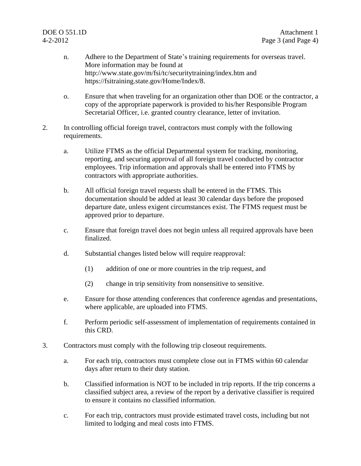- n. Adhere to the Department of State's training requirements for overseas travel. More information may be found at <http://www.state.gov/m/fsi/tc/securitytraining/index.htm> and [https://fsitraining.state.gov/Home/Index/8.](https://fsitraining.state.gov/Home/Index/8)
- o. Ensure that when traveling for an organization other than DOE or the contractor, a copy of the appropriate paperwork is provided to his/her Responsible Program Secretarial Officer, i.e. granted country clearance, letter of invitation.
- 2. In controlling official foreign travel, contractors must comply with the following requirements.
	- a. Utilize FTMS as the official Departmental system for tracking, monitoring, reporting, and securing approval of all foreign travel conducted by contractor employees. Trip information and approvals shall be entered into FTMS by contractors with appropriate authorities.
	- b. All official foreign travel requests shall be entered in the FTMS. This documentation should be added at least 30 calendar days before the proposed departure date, unless exigent circumstances exist. The FTMS request must be approved prior to departure.
	- c. Ensure that foreign travel does not begin unless all required approvals have been finalized.
	- d. Substantial changes listed below will require reapproval:
		- (1) addition of one or more countries in the trip request, and
		- (2) change in trip sensitivity from nonsensitive to sensitive.
	- e. Ensure for those attending conferences that conference agendas and presentations, where applicable, are uploaded into FTMS.
	- f. Perform periodic self-assessment of implementation of requirements contained in this CRD.
- 3. Contractors must comply with the following trip closeout requirements.
	- a. For each trip, contractors must complete close out in FTMS within 60 calendar days after return to their duty station.
	- b. Classified information is NOT to be included in trip reports. If the trip concerns a classified subject area, a review of the report by a derivative classifier is required to ensure it contains no classified information.
	- c. For each trip, contractors must provide estimated travel costs, including but not limited to lodging and meal costs into FTMS.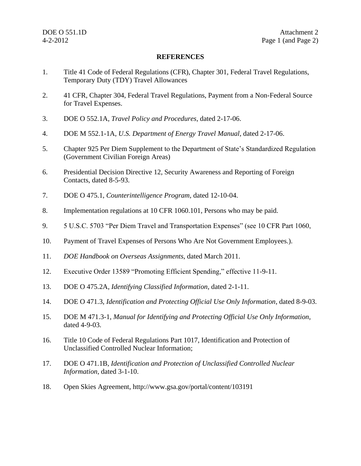#### **REFERENCES**

- 1. Title 41 Code of Federal Regulations (CFR), Chapter 301, Federal Travel Regulations, Temporary Duty (TDY) Travel Allowances
- 2. 41 CFR, Chapter 304, Federal Travel Regulations, Payment from a Non-Federal Source for Travel Expenses.
- 3. DOE O 552.1A, *Travel Policy and Procedures*, dated 2-17-06.
- 4. DOE M 552.1-1A, *U.S. Department of Energy Travel Manual*, dated 2-17-06.
- 5. Chapter 925 Per Diem Supplement to the Department of State's Standardized Regulation (Government Civilian Foreign Areas)
- 6. Presidential Decision Directive 12, Security Awareness and Reporting of Foreign Contacts, dated 8-5-93.
- 7. DOE O 475.1, *Counterintelligence Program*, dated 12-10-04.
- 8. Implementation regulations at 10 CFR 1060.101, Persons who may be paid.
- 9. 5 U.S.C. 5703 "Per Diem Travel and Transportation Expenses" (see 10 CFR Part 1060,
- 10. Payment of Travel Expenses of Persons Who Are Not Government Employees.).
- 11. *DOE Handbook on Overseas Assignments*, dated March 2011.
- 12. Executive Order 13589 "Promoting Efficient Spending," effective 11-9-11.
- 13. DOE O 475.2A, *Identifying Classified Information*, dated 2-1-11.
- 14. DOE O 471.3, *Identification and Protecting Official Use Only Information*, dated 8-9-03.
- 15. DOE M 471.3-1, *Manual for Identifying and Protecting Official Use Only Information*, dated 4-9-03.
- 16. Title 10 Code of Federal Regulations Part 1017, Identification and Protection of Unclassified Controlled Nuclear Information;
- 17. DOE O 471.1B, *Identification and Protection of Unclassified Controlled Nuclear Information*, dated 3-1-10.
- 18. Open Skies Agreement,<http://www.gsa.gov/portal/content/103191>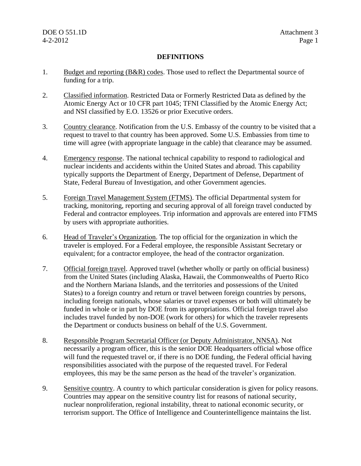#### **DEFINITIONS**

- 1. Budget and reporting (B&R) codes. Those used to reflect the Departmental source of funding for a trip.
- 2. Classified information. Restricted Data or Formerly Restricted Data as defined by the Atomic Energy Act or 10 CFR part 1045; TFNI Classified by the Atomic Energy Act; and NSI classified by E.O. 13526 or prior Executive orders.
- 3. Country clearance. Notification from the U.S. Embassy of the country to be visited that a request to travel to that country has been approved. Some U.S. Embassies from time to time will agree (with appropriate language in the cable) that clearance may be assumed.
- 4. Emergency response. The national technical capability to respond to radiological and nuclear incidents and accidents within the United States and abroad. This capability typically supports the Department of Energy, Department of Defense, Department of State, Federal Bureau of Investigation, and other Government agencies.
- 5. Foreign Travel Management System (FTMS). The official Departmental system for tracking, monitoring, reporting and securing approval of all foreign travel conducted by Federal and contractor employees. Trip information and approvals are entered into FTMS by users with appropriate authorities.
- 6. Head of Traveler's Organization. The top official for the organization in which the traveler is employed. For a Federal employee, the responsible Assistant Secretary or equivalent; for a contractor employee, the head of the contractor organization.
- 7. Official foreign travel. Approved travel (whether wholly or partly on official business) from the United States (including Alaska, Hawaii, the Commonwealths of Puerto Rico and the Northern Mariana Islands, and the territories and possessions of the United States) to a foreign country and return or travel between foreign countries by persons, including foreign nationals, whose salaries or travel expenses or both will ultimately be funded in whole or in part by DOE from its appropriations. Official foreign travel also includes travel funded by non-DOE (work for others) for which the traveler represents the Department or conducts business on behalf of the U.S. Government.
- 8. Responsible Program Secretarial Officer (or Deputy Administrator, NNSA). Not necessarily a program officer, this is the senior DOE Headquarters official whose office will fund the requested travel or, if there is no DOE funding, the Federal official having responsibilities associated with the purpose of the requested travel. For Federal employees, this may be the same person as the head of the traveler's organization.
- 9. Sensitive country. A country to which particular consideration is given for policy reasons. Countries may appear on the sensitive country list for reasons of national security, nuclear nonproliferation, regional instability, threat to national economic security, or terrorism support. The Office of Intelligence and Counterintelligence maintains the list.